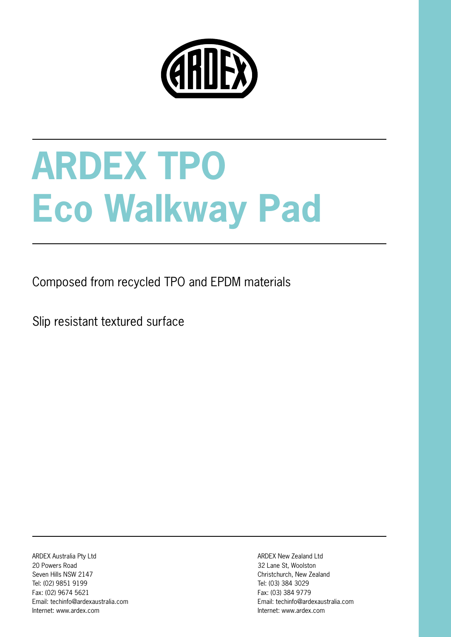

# **ARDEX TPO Eco Walkway Pad**

Composed from recycled TPO and EPDM materials

Slip resistant textured surface

ARDEX Australia Pty Ltd 20 Powers Road Seven Hills NSW 2147 Tel: (02) 9851 9199 Fax: (02) 9674 5621 Email: techinfo@ardexaustralia.com Internet: www.ardex.com

ARDEX New Zealand Ltd 32 Lane St, Woolston Christchurch, New Zealand Tel: (03) 384 3029 Fax: (03) 384 9779 Email: techinfo@ardexaustralia.com Internet: www.ardex.com